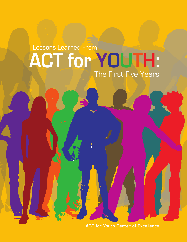# **ACT for YOUTH:** Lessons Learned From The First Five Years

ACT for Youth Center of Excellence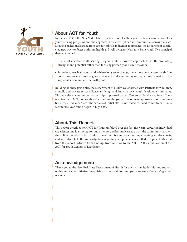

### About ACT for Youth

In the late 1990s, the New York State Department of Health began a critical examination of its youth-serving programs and the approaches they exemplified in communities across the state. Drawing on lessons learned from categorical risk-reduction approaches, the Department considered new ways to foster optimum health and well-being for New York State youth. Two principal themes emerged:

- The most effective youth-serving programs take a positive approach to youth, promoting strengths and potential rather than focusing primarily on risky behaviors.
- In order to reach all youth and achieve long-term change, there must be an extensive shift in consciousness at all levels of government and in all community sectors; a transformation in the way adults view and interact with youth.

Building on these principles, the Department of Health collaborated with Partners for Children, a public and private sector alliance, to design and launch a new youth development initiative. Through eleven community partnerships supported by two Centers of Excellence, Assets Coming Together (ACT) for Youth seeks to infuse the youth development approach into communities across New York State. The success of initial efforts motivated renewed commitment, and a second five-year round began in July 2006.

### About This Report

This report describes how ACT for Youth unfolded over the first five years, capturing individual experiences and identifying common themes and lessons learned across the community partnerships. It is intended to be of value to communities interested in implementing similar efforts, and to contribute to the knowledge base regarding best practices in youth development. Material from this report is drawn from Findings from ACT for Youth: 2000 – 2006, a publication of the ACT for Youth Centers of Excellence.

### Acknowledgements

Thank you to the New York State Department of Health for their vision, leadership, and support of this innovative initiative, recognizing that our children and youth are truly New York's greatest resource.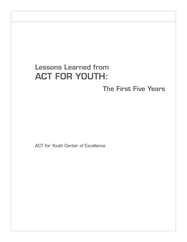# Lessons Learned from ACT FOR YOUTH:

The First Five Years

ACT for Youth Center of Excellence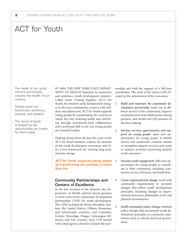### ACT for Youth

The health of our youth mirrors and directly impacts the health of our country.

Today's youth are tomorrow's workforce, parents, and leaders.

The future of youth is shaped by the opportunities we create for them today.

IN 2000, THE NEW YORK STATE DEPART-MENT OF HEALTH launched an innovative and ambitious youth development initiative. Called Assets Coming Together (ACT) for Youth, the initiative seeks fundamental changes in the ways communities connect with children and adolescents. ACT for Youth supports young people by transforming the contexts in which they live, fostering health and well-being through community-level collaboration and a profound shift in the way young people are viewed by adults.

Findings drawn from the first five years of the ACT for Youth initiative endorse the promise of the youth development movement, and offer a new framework for creating long-term, systemic change.

*ACT for Youth supports young people by transforming the contexts in which they live.*

#### Community Partnerships and Centers of Excellence

In the first iteration of the initiative, the Department of Health selected eleven grantees to form cross-sector community development partnerships (CDP) for youth development. The CDPs included the Bronx, Brooklyn, Yonkers, the Capital District (Albany, Rensselaer, and Schenectady counties), and Columbia, Greene, Onondaga, Otsego, Cattaraugus, Jefferson, and Erie counties. Each CDP started with a lead agency selected to launch the partnership, and with the support of a full-time coordinator. The work of the eleven CDPs focused on the achievement of five outcomes:

- 1. *Build and maintain the community development partnership:* reach out to different sectors of the community, improve communication and collaboration among partners, and involve all CDP partners in decision making.
- 2. *Increase services, opportunities, and supports for young people:* open new opportunities for young people in family, school, and community contexts; initiate or strengthen support services; and create or enhance activities promoting positive youth outcomes.
- 3. *Increase youth engagement:* offer new opportunities for young people to contribute to their community, including community service, advocacy, and leadership.
- 4. *Create organizational change:* work with community organizations to promote changes that reflect youth development principles, including changes in organizational structures, philosophy, tools, and physical environments.
- 5. *Instill community policy change:* establish policy changes that incorporate youth development principles in community institutions such as schools and local government.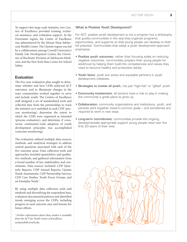To support this large-scale initiative, two Centers of Excellence provided training, technical assistance, and evaluation support. In the Downstate region, the Center of Excellence was administered by the Mount Sinai Adolescent Health Center. The Upstate region was led by a collaboration among Cornell University's Family Life Development Center, the University of Rochester Division of Adolescent Medicine, and the New York State Center for School Safety.

#### Evaluation

The five-year evaluation plan sought to determine whether and how CDPs achieved ACT outcomes, and to illuminate changes in the ways communities worked together to serve and include youth. The Centers of Excellence staff designed a set of standardized tools and collected data from the partnerships to track the initiative as it unfolded in each CDP (process monitoring), determine the extent to which the CDPs were organized as intended (process evaluation), and determine if crosssector, community-wide adoption of youth development principles was accomplished (outcome monitoring).

The evaluation utilized multiple data sources, methods, and analytical strategies to address central questions associated with each of the five outcome areas. Data collection tools and approaches included quantitative and qualitative methods, and gathered information from a broad number of key stakeholders and constituents. Data sources included: CDP Quarterly Reports, CDP Annual Reports, Upstate Needs Assessments, CDP Partnership Surveys, CDP Case Studies, Youth Focus Groups, and an Exemplar Study.<sup>1</sup>

By using multiple data collection tools and methods and diversifying the respondent base, evaluators documented patterns and identified trends emerging across the CDPs, including progress in each outcome area and lessons for future efforts.

*1 Further information about these studies is available from the ACT for Youth Center of Excellence, act4youth@cornell.edu.*

#### What Is Positive Youth Development?

For ACT, positive youth development is not a program but a philosophy that guides communities in the way they organize programs, opportunities, and supports so that young people can develop to their full potential. Communities that adopt a youth development approach emphasize:

- Positive youth outcomes: rather than focusing solely on reducing negative outcomes, communities prepare their young people for adulthood by helping them build the competencies and values they need to become healthy and productive adults.
- Youth Voice: youth are active and equitable partners in youth development initiatives.
- Strategies to involve all youth, not just "high-risk" or "gifted" youth.
- Community involvement: all sectors have a role to play in making the community a great place to grow up.
- Collaboration: community organizations and institutions, youth, and parents work together toward common goals – and sometimes are required to work in new ways.
- Long-term commitment: communities provide the ongoing, developmentally appropriate support young people need over the first 20 years of their lives.

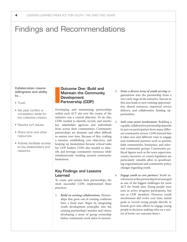## Findings and Recommendations

#### Collaboration means willingness and ability to…

- Trust!
- Set past conflict or competition aside for the collective mission.
- Resolve turf issues.
- Share time and other resources.
- Actively facilitate access to key stakeholders and networks.

#### Outcome One: Build and Maintain the Community **Development** Partnership (CDP)

Developing and maintaining partnerships within each ACT site over the course of the initiative was a central objective. To do this, CDPs needed to identify, recruit, and involve key stakeholder agencies and individuals from across their communities. Community partnerships are dynamic and often difficult to sustain over time. Because of this, crafting a mission, establishing core objectives, and keeping up momentum became critical tasks for CDP leaders. CDPs also needed to identify and leverage community resources while simultaneously working around community limitations.

#### Key Findings and Lessons Learned

To create and sustain their partnerships, the most successful CDPs implemented these practices:

1. *Build on existing collaborations.* Partnerships that grow out of existing coalitions have a head start. Begin by integrating youth development principles into the existing partnership's mission and vision, developing a sense of group ownership before community work starts in earnest.

- 2. *Draw a diverse array of youth-serving* organizations into the partnership from a very early stage in the initiative. Success in this area leads to new training opportunities, shared resources, improved service delivery, and collaborative funding opportunities.
- 3. *Seek cross-sector involvement.* Building a capable, collaborative partnership depends in part on participation from many different community sectors. CDPs learned that it takes new and different ways to engage non-traditional partners such as parents, faith communities, businesses, and informal community groups. Community political figures such as the town supervisor, county executive, or county legislators are particularly valuable allies in spearheading organizational and community policy changes regarding youth.
- 4. *Engage youth as core partners.* Youth involvement at the partnership level emerged as one of the biggest challenges for most ACT for Youth sites. Young people were seen as active program participants, but not as CDP members. However, youth involvement did evolve over time. Initial goals to recruit young people directly to boards grew into efforts to engage young people in decision-making roles on a variety of levels (see outcome three).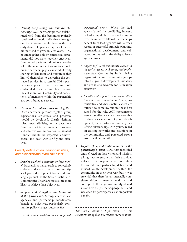- 5. *Develop early, strong, and cohesive relationships.* ACT partnerships that collaborated well from the beginning typically continued to function effectively throughout the initiative, while those with little early detectible partnership development did not tend to grow in later years. CDPs bound together only by contractual agreements did not work together effectively. Contractual partners did not as a rule develop the commitment or motivation to pursue partnership goals; instead of freely sharing information and resources they limited themselves to delivering the contracted service. In successful CDPs, partners were perceived as equals and both contributed to and received benefits from the collaboration. Continuity and consistency of members within the partnership also contributed to success.
- 6. *Create a clear internal structure together.* Once a partnership comes together, group expectations, structures, and processes should be developed. Clearly defining roles, responsibilities, and expectations from the start is instrumental to success, and effective communication is essential. Conflict should be expected, acknowledged, and dealt with swiftly and effectively.

#### *Clearly define roles, responsibilities, and expectations from the start.*

- 7. *Develop a cohesive community-level model.* Partnerships that are able to collectively endorse and use a cohesive communitylevel youth development framework and language, such as the Search Institute or Communities That Care models, are more likely to achieve their objectives.
- 8. *Support and strengthen the leadership of the partnership.* Strong, effective lead agencies and partnership coordinators benefit all objectives, particularly community policy change (outcome five).
	- *Lead with a well-positioned, respected,*

*experienced agency.* When the lead agency lacked the credibility, interest, or leadership skills to manage the initiative, the initiative faltered. Partnerships benefit from lead agencies with a track record of successful strategic planning, organizational development, and collaboration, as well as the ability to leverage resources.

- *Engage high-level community leaders in the earliest stages of planning and implementation.* Community leaders bring organizations and community groups into the youth development initiative, and are able to advocate for its mission effectively.
- *Identify and support a consistent, effective, experienced coordinator.* Stable, enthusiastic, and charismatic leaders are difficult to come by, but are those best suited for the role. ACT coordinators were most effective when they were able to share a clear vision of youth development, had a history of mutually satisfying relationships with youth, relied on existing networks and coalitions in the community, and possessed strong group facilitation skills.
- 9. *Define, refine, and continue to revisit the partnership's vision.* CDPs that identified and reflected on their vision and mission, taking steps to ensure that their activities reflected this purpose, were more likely to succeed. Each partnership defined and infused youth development within the community in their own way, but it was essential that there be an internally consistent vision that members endorsed and conveyed to the larger community. Shared vision held the partnership together – and was cited by participants as an important benefit.

#### n n n n n n n n n n n n n n n n n n n n n n n *The Greene County ACT for Youth CDP was structured using four interrelated work commit-*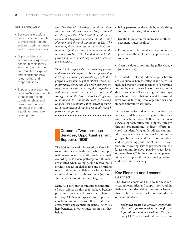#### SOS Framework:

- Services are actions done *for* young people to meet basic health and instructional needs, and to provide stability.
- Opportunities are actions done *by* young people in their family, at school, and in the community to explore and experience new roles, skills, and responsibilities.
- Supports are activities done *with* young people to facilitate access to relationships and resources that are essential in creating a positive climate for development.

*tees. The Executive Steering Committee, which was the lead decision-making body, included members from the Department of Social Services, Sheriff's Department, Public Health/Family Planning, and the local community college. The remaining three committees included the Operations and Quality Assurance committees and the Resource Task Force. This foundation enabled the partnership to remain strong even when key actors moved on.* 

*The CDP also depended on the active engagement of diverse member agencies. At most partnership meetings, one could find county agency leaders, program coordinators, police officers, school administrators, clergy, and Elk Lodge members sitting around a table discussing their experiences with the partnership, sharing success stories, and strategizing for the future. This CDP's genuine commitment to community-wide partnership, coupled with a commitment to increasing services, opportunities, and supports for youth, made it particularly effective.*

n n n n n n n n n n n n n n n n n n n n n n n

#### Outcome Two: Increase Services, Opportunities, and Supports (SOS)

The SOS framework pioneered by Karen Pittman offers a matrix through which an optimal environment for youth can be nurtured. According to Pittman, pathways to fulfillment are created when young people receive basic services, engage in challenging and rewarding opportunities, and collaborate with adults to create and connect to the supports (relationships and resources) they need to grow.

Many ACT for Youth communities concentrated early efforts on this goal, perhaps because providing services and programs is familiar territory. CDPs were expected to couple their efforts on this outcome with their efforts to increase youth engagement. In general, activities here benefited all other outcomes in that they helped:

- Bring partners to the table by establishing common interests (outcome one).
- Lay the foundation for increased youth engagement (outcome three).
- Promote organizational changes to incorporate a youth development approach (outcome four).
- Open the door to community policy change (outcome five).

CDPs used direct and indirect approaches to achieve success. Direct strategies and activities included creation or enhancement of programs for and by youth, as well as outreach to more diverse audiences. Those using the direct approach anticipated that success at the ground level would filter up into organizations and impact community attitudes.

Indirect strategies and activities sought to affect service delivery and program infrastructure on a broad scale. Rather than address services, opportunities, and supports directly through programming, indirect efforts focused on identifying underutilized community resources such as informal community groups, businesses, and faith communities, and on providing youth development education. By educating service providers and the larger community about positive youth development, these CDPs aimed to create opportunities and supports through enduring systemic and environmental change.

#### Key Findings and Lessons Learned

The diverse efforts of CDPs to increase services, opportunities, and supports for youth in their communities yielded important lessons that can be instructive for future youth development initiatives:

1. *Redefined terms like services, opportunities, and supports need to be taught, reinforced, and adopted early on.* Virtually every CDP operationalized these terms in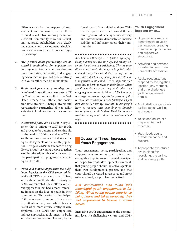different ways. For the purposes of measurement and uniformity, early efforts to build a collective working definition is critical. Community education is vital; only educated stakeholders who clearly understand youth development principles can drive the effort toward long-term systemic change.

- 2. *Strong youth-adult partnerships are an essential mechanism for opportunities and supports.* Programs and services are more innovative, authentic, and engaging when they are planned collaboratively with youth rather than by adults alone.
- 3. *Youth development programming must be tailored to specific local contexts.* ACT for Youth communities reflect New York State's urban, rural, ethnic, and socioeconomic diversity. Having a diverse and representative partnership able to tailor activities to local needs was critical to success.
- 4. *Unrestricted funds are an asset.* A key element that is unique to ACT for Youth, and proved to be a useful and exciting aid to the work of CDPs, was that ACT for Youth funds were not restricted to specific high-risk segments of the youth population. This gave CDPs the freedom to bring diverse groups of young people together, avoiding the stigma that often accompanies participation in programs targeted to high-risk youth.
- 5. *Direct and indirect approaches leave different legacies in the CDP communities.*  While all CDPs used a mixture of direct and indirect methods, the majority of CDPs concentrated their efforts on direct approaches that had a more immediate impact on the lives of youth in their communities. Those efforts often helped CDPs gain momentum and attract positive attention early on, which became useful when more diverse strategies were employed. The CDPs that emphasized indirect approaches took longer to build and demonstrate results. However, by the

fourth year of the initiative, those CDPs that had put their efforts toward the indirect goals of influencing service delivery and infrastructure demonstrated marked stability and influence across their communities.

n n n n n n n n n n n n n n n n n n n n n n n *Kan Cobra, a Brooklyn CDP partner agency offering martial arts training, opened savings accounts for all youth participants. The program director instituted this policy to help kids think about the way they spend their money and to stress the importance of saving and investment. One partner commented, "It's so important for these kids to begin to focus on their future. Often you'll hear them say that they don't think they are going to be around in 10 years." Each month, the program director deposits ten percent of the revenue she receives from each participant's fees into his or her savings account. Young people learn to manage their own finances through the support of adult leaders. Participants have used the money to attend tournaments and field trips.*

#### Outcome Three: Increase Youth Engagement

n n n n n n n n n n n n n n n n n n n n n n n

Youth engagement, voice, participation, and empowerment are terms used, often interchangeably, to point to fundamental principles of the positive youth development movement: that young people should be active agents in their own developmental process, and that youth should be viewed as resources and assets to be nurtured, not problems to be fixed.

*ACT communities also found that meaningful youth engagement is fulfilling. When young people experience being heard and taken seriously, they feel empowered to believe in themselves.*

Increasing youth engagement at the community level is a challenging venture, and CDPs

#### **Youth Engagement happens when…**

- Organizations make a commitment to youth participation, creating meaningful opportunities and supportive structures.
- Activities and services provided for youth are universally accessible.
- Adults recognize and respond to the logistics, location, environment, and time challenges youth engagement entails.
- Adult staff are genuinely excited about working with youth.
- Youth and adults are prepared to work together.
- Youth lead; adults provide guidance and support.
- Appropriate structures are in place for recruiting, preparing, and retaining youth.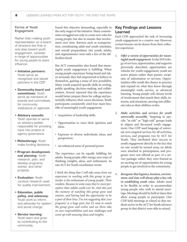#### Forms of Youth Engagement

Rather than making youth representation on a board of directors the first or only step toward youth engagement, consider a range of opportunities for young people to exert influence:

- **• Initiative partners:** Youth serve as recognized and valued partners in the CDP.
- **Community board and committees:** Youth serve as members of boards and committees for community institutions or agencies.
- **Advisory councils:** Youth operate or serve on advisory bodies responsible for providing input into project or agency governance.
- **Philanthropy:** Youth make funding decisions.
- **Program development and planning:** Youth research, plan, and develop programs, events, and other projects.
- **Evaluation:** Youth conduct research used for quality improvement.
- **Education, public policy, and advocacy:** Youth work to inform and advocate for system and social change.
- **Service learning:** Youth learn and grow by contributing to the community.

found this objective demanding, especially in the early stages of the initiative. Many communities struggled not only to create new roles for young people, but also to sustain that involvement over time. Barriers such as transportation, coordinating adult and youth schedules, and overall preparedness (for youth, adults, and organizations) were only a few of the difficulties faced.

But ACT communities also found that meaningful youth engagement is fulfilling. When young people experience being heard and taken seriously, they feel empowered to believe in themselves, gaining a sense of new possibility. Many youth acquired specific skills in writing, public speaking, decision making, and collaboration. Several reported that the experience would better prepare them for college and potentially influence their career decisions. Youth participants consistently cited four main benefits of meaningful youth engagement:

- Acquisition of leadership skills.
- Opportunities to voice their opinions and ideas.
- Exposure to diverse individuals, ideas, and perspectives.
- An enhanced sense of personal power.

The experience can be equally fulfilling for adults. Young people offer energy, new ways of thinking, insights, ideas, and enthusiasm. As one ACT for Youth coordinator wrote:

*I think the thing that I will take away from my experience in working with this group in particular is the enthusiasm of young people. Their wisdom. Because in some ways they're more perceptive than adults could ever be. And also just the memory of watching this group grow and mature, and having had the opportunity to be a part of their lives. I'm not suggesting that [our program] is a huge part, but it's neat to watch the group grow and evolve and see them take on new responsibilities and new challenges and come up with amazing ideas and insights.*

#### Key Findings and Lessons Learned

Each CDP approached the task of increasing youth engagement in a creative way. However, certain lessons can be drawn from their collective experience:

- 1. *Offer a variety of opportunities for meaningful youth engagement.* In the SOS trilogy of services, opportunities, and supports previously described, opportunities are vehicles for youth engagement; youth are active players rather than passive recipients of information or services. Opportunities offer youth the chance to practice and expand on what they know through meaningful work, service, or advanced learning. Young people will choose levels of involvement that match their skills, interests, and situations, moving into different roles as their abilities evolve.
- 2. *Make activities and services for youth universally accessible.* Targeting to specific "at-risk" or "high-risk" groups leads to stigma and decreased youth engagement. One CDP used language of universal, non-targeted services for all activities, services, and programs run by ACT for Youth. They attributed their success in youth engagement directly to the fact that no one would be turned away, no labels were attached to participation, and programs were not offered as part of a service package; rather, they were framed as an exciting set of opportunities for young people to get involved in the community.
- 3. *Recognize that logistics, location, environment, and time will always play a key role in establishing youth voice.* Adults need to be flexible in order to accommodate young people who wish to attend meetings. Meetings should be held at times that allow young people to participate. One CDP held meetings at school so that students active in the ACT for Youth advisory group in that district were able to attend.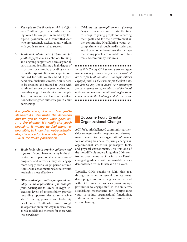- 4. *The right staff will make a critical difference.* Youth recognize when adults are being forced to take part in an activity. Energetic, passionate, and committed staff who are genuinely excited about working with youth are essential to success.
- 5. *Youth and adults need preparation for youth engagement.* Orientation, training, and ongoing support are necessary for all participants. Establishing a high degree of structure (for example, providing a manual with responsibilities and expectations outlined for both youth and adult partners) also facilitates success. Adults need to be oriented and trained to work with youth and to overcome preconceived notions they might have about young people. Team building and mechanisms for reflection will strengthen authentic youth-adult partnership.

*It's youth voice, it's not like youthslash-adults. We make the decisions and we get to decide what goes on. . . . We choose. It's really the youth speaking. It makes us feel more responsible, to know that we're actually, like, the voice for the whole youth. —ACT for Youth participant*

- 6. *Youth lead; adults provide guidance and support.* If youth have more say in the direction and operational maintenance of programs and activities, they will engage more deeply over a longer period of time. Adults who act as mentors facilitate youth leadership most effectively.
- 7. *Offer youth opportunities for upward mobility in an organization (for example, from participant to intern to staff).* Increasing levels of responsibility provide rewarding opportunities to serve while also furthering personal and leadership development. Youth who move through an organization in this way may also serve as role models and mentors for those with less experience.

8. *Celebrate the accomplishments of young people.* It is important to take the time to recognize young people for achieving their goals and for their involvement in the community. Highlighting youth accomplishments through media stories and award ceremonies broadcasts the message that young people are valuable contributors and community resources.

#### n n n n n n n n n n n n n n n n n n n n n n n

*In the Erie County CDP, several partners began new practices for involving youth as a result of the ACT for Youth Initiative. Four organizations engaged youth on their boards for the first time, the Erie County Youth Board now encourages youth to become voting members, and the Board of Education made a commitment to give youth a role at both the building and district level.*

n n n n n n n n n n n n n n n n n n n n n n n

#### Outcome Four: Create Organizational Change

ACT for Youth challenged community partnerships to intentionally integrate youth development theory into their organizations' normal way of doing business, requiring changes in organizational structures, philosophy, tools, and physical environments. This was one of the most difficult undertakings that CDPs confronted over the course of the initiative. Results emerged gradually, with measurable strides demonstrated by the fourth and fifth years.

Typically, CDPs sought to fulfill this goal through activities in several discrete areas: developing a common language across and within CDP member agencies, providing opportunities to engage staff in the initiative, establishing mechanisms for incorporating youth voice into organizational functioning, and conducting organizational assessment and action planning.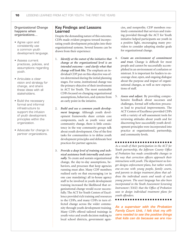#### Organizational Change happens when organizations…

- Agree upon and consistently use a common youth development language.
- Assess current practices, policies, and assumptions regarding youth.
- Articulate a clear vision and strategy for change, and share these ideas with all stakeholders.
- Build the necessary formal and informal infrastructure to support the infusion of youth development principles within the organization.
- Advocate for change in partner organizations.

#### Key Findings and Lessons Learned

Despite the demanding nature of this outcome, CDPs made evident progress toward incorporating youth development principles into their organizational systems. Several lessons can be drawn from their experience:

- 1. *Identify at the outset of the initiative that change at the organizational level is an intended outcome – and clarify what that change will look like.* The emphasis an individual CDP put on this objective was often determined during the initial planning stages. For some, institutional change was the primary objective of their involvement in ACT for Youth. The most sustainable CDPs focused on changing organizational assumptions, behaviors, and systems from an early point in the intiative.
- 2. *Build and use a common youth development language.* Although youth development frameworks share certain core components, such as youth voice and community change, there is little consistency in the way community groups talk about youth development. One of the first tasks for communities is to define youth development principles and delineate best practices for partner agencies.
- 3. *Provide a deep level of training and technical assistance both internally and externally.* To create and sustain organizational change, the day-to-day assumptions, behaviors, and processes that keep agencies running must alter. Many CDP members realized early on that encouraging (or in one case mandating) all in-house agency staff to be involved in youth development training increased the likelihood that organizational change would occur successfully. The ACT for Youth Centers of Excellence provided rich training and resources to the CDPs, and many CDPs in turn effected change across the wider community through youth development training. Many CDPs offered tailored trainings in youth voice and youth decision making to local school districts, government agen-

cies, and nonprofits. CDP members routinely commented that services and training provided through the ACT for Youth initiative helped participants see youth in a positive light, encouraging many providers to consider adopting similar goals for organizational change.

- 4. *Create an environment of commitment and trust.* Change is difficult for most people and cannot be successfully accomplished in an environment of confusion or mistrust. It is important for leaders to encourage clear, open, and ongoing dialogue about the purpose and impact of organizational changes, as well as new expectations of staff.
- 5. *Assess and adjust.* By providing comprehensive feedback about successes and challenges, formal self-reflection processes lead to practical improvements. The ACT Centers of Excellence provided CDPs with a variety of self-assessment tools for reviewing attitudes about youth and for discovering how successfully youth development principles were incorporated into practice at organizational, partnership, and community levels.

#### n n n n n n n n n n n n n n n n n n n n n n n

*As a result of their participation in the ACT for Youth partnership, the Jefferson County Office of Probation has made considerable changes to the way that correction officers approach their interactions with youth. The department no longer designs enforcement plans, but rather works one-on-one with young people, family courts, and parents to design treatment plans that address the individual assets and needs of each young person. The asset language has also been incorporated in the Youth Assessment Screening Instrument (YASI) that the Office of Probation uses to design individual treatment plans for youth offenders.* 

n n n n n n n n n n n n n n n n n n n n n n n

*As a supervisor with the Probation Family Court Unit, I felt that my officers needed to see the positive things that kids can do because we are rou-*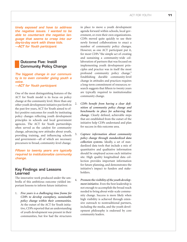*tinely exposed and have to address the negative issues. I wanted to be able to counteract the negative language that seems to creep into our day-to-day work with these kids. —ACT for Youth participant*

#### Outcome Five: Instill Community Policy Change

*The biggest change in our community is to even consider giving youth a voice.*

*—ACT for Youth participant*

One of the most distinguishing features of the ACT for Youth model is its focus on policy change at the community level. More than any other youth development initiative put forth in the past few years, ACT for Youth aimed to effect positive outcomes for youth by instituting policy changes reflecting youth development principles in schools and local government agencies. The ACT for Youth partnerships often served as the catalyst for community change, advancing new attitudes about youth, providing training, and influencing schools and government—all of which are necessary precursors to broad, community-level change.

*Fifteen to twenty years are typically required to institutionalize community change.*

#### Key Findings and Lessons Learned

The innovative work produced under the umbrella of this ambitious outcome yielded important lessons to inform future initiatives:

1. *Five years is a challenging time frame for CDPs to develop exemplary, sustainable policy change within their communities.*  At the outset of the ACT for Youth initiative, CDPs reported that an understanding of youth development was present in their communities, but few had the structures in place to move a youth development agenda forward within schools, local government, or even their own organizations. CDPs moved quite quickly to use their newly formed collaborations to enact a number of community policy changes. However, as one ACT participant put it, for most CDPs "the simple act of creating and sustaining a community-wide collaboration of partners that was focused on implementing youth development principles and practice was in itself the most profound community policy change." Establishing durable community-level change in attitudes and practices requires a long-term commitment of resources; research suggests that fifteen to twenty years are typically required to institutionalize community change.

- 2. *CDPs benefit from having a clear definition of community policy change and benchmarks in place for achieving that change.* Clearly defined, achievable steps that are established from the outset of the initiative help CDPs understand and plan for success in this outcome area.
- 3. *Capture information about community policy change through standardized data collection systems.* Ideally, a set of standardized data tools that include a mix of quantitative and qualitative information should be employed across each initiative site. High quality longitudinal data collection provides important information for future planning, and demonstrates the initiative's impact to funders and stakeholders.
- 4. *Promote the visibility of the youth development initiative.* Even the best leadership is not enough to accomplish the broad reach needed to bring about wide-scale community change. Success is more likely when high visibility is achieved through extensive outreach to nontraditional partners, including the media, and the youth development philosophy is endorsed by core community leaders.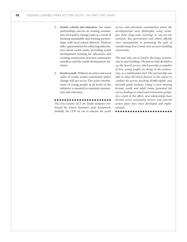- 5. *Involve schools and educators.* For many partnerships, success in creating community-level policy change came as a result of forming sustainable and trusting partnerships with local school districts. Districts offer opportunities for collecting information about youth assets, providing youth development training for educators, and creating connections between community members and the youth development initiative.
- 6. *Involve youth.* Without an active and vocal cadre of youth, sound community policy change will not occur. The active involvement of young people at all levels of the initiative is essential to maintain momentum and relevance.

n n n n n n n n n n n n n n n n n n n n n n n *The Erie County ACT for Youth initiative embraced the Search Institute's asset framework. Initially, the CDP set out to educate the youth*  *service and education communities about the developmental asset philosophy, using strategies from large-scale trainings to one-on-one outreach. Key government and school officials were instrumental in promoting the goal of transforming Erie County into an asset-building community.* 

*The next step was to involve the larger community in asset building. The partnership decided to use the Search survey, which provides a snapshot of how young people are doing in the community, as a mobilization tool. The partnership was able to enlist all school districts in the county to conduct the survey, reaching 50,000 eighth- and eleventh-grade students. Using a town meeting format, youth and adult teams presented the survey findings to school and community groups. As a result of this effort, new relationships have formed across community sectors, and concrete action plans have been developed and implemented.*

n n n n n n n n n n n n n n n n n n n n n n n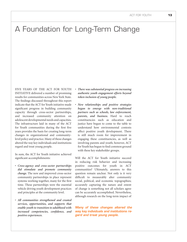# A Foundation for Long-Term Change

FIVE YEARS OF THE ACT FOR YOUTH INITIATIVE delivered a number of promising results for communities across New York State. The findings discussed throughout this report indicate that the ACT for Youth initiative made significant progress in building community capacity through cross-sector partnerships, and increased community attention on adolescent developmental needs and capacities. The infrastructure laid in many of the ACT for Youth communities during the first five years provides the basis for creating long-term changes in organizational and communitylevel policy and practice. Many of these changes altered the way key individuals and institutions regard and treat young people.

In sum, the ACT for Youth initiative achieved significant accomplishments:

- *Cross-agency and cross-sector partnerships did stimulate and promote community change.* The new and improved cross-sector community partnerships in place represent systems working together, many for the first time. These partnerships were the essential vehicle driving youth development practices and principles at the community level.
- *All communities strengthened and created services, opportunities, and supports that enable youth to transition to adulthood with increased competencies, confidence, and positive experiences.*
- *There was substantial progress on increasing authentic youth engagement efforts beyond token inclusion of young people.*
- *New relationships and positive strategies began to emerge with non-traditional partners such as schools, law enforcement, parents, and business.* Hard to reach constituencies such as education and justice have begun to come to the table to understand how environmental contexts affect positive youth development. There is still much room for improvement in engaging these constituencies, as well as involving parents and youth; however, ACT for Youth has begun to find common ground with these key stakeholder groups.

Will the ACT for Youth initiative succeed in reducing risk behavior and increasing positive outcomes for youth in ACT communities? Ultimately, answers to this question remain unclear. Not only is it very difficult to measurably alter community social, political, and economic topographies; accurately capturing the nature and extent of change is something not all scholars agree can be accurately accomplished. Nevertheless, although research on the long-term impact of

*Many of these changes altered the way key individuals and institutions regard and treat young people.*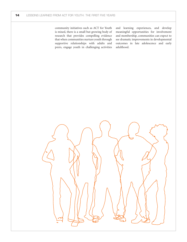community initiatives such as ACT for Youth is mixed, there is a small but growing body of research that provides compelling evidence that when communities nurture youth through supportive relationships with adults and peers, engage youth in challenging activities and learning experiences, and develop meaningful opportunities for involvement and membership, communities can expect to see dramatic improvements in developmental outcomes in late adolescence and early adulthood.

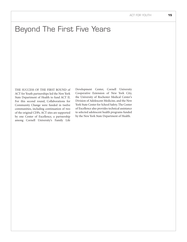# Beyond The First Five Years

THE SUCCESS OF THE FIRST ROUND of ACT for Youth partnerships led the New York State Department of Health to fund ACT II. For this second round, Collaborations for Community Change were funded in twelve communities, including continuation of two of the original CDPs. ACT sites are supported by one Center of Excellence, a partnership among Cornell University's Family Life Development Center, Cornell University Cooperative Extension of New York City, the University of Rochester Medical Center's Division of Adolescent Medicine, and the New York State Center for School Safety. The Center of Excellence also provides technical assistance to selected adolescent health programs funded by the New York State Department of Health.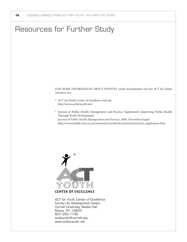### Resources for Further Study

FOR MORE INFORMATION ABOUT POSITIVE youth development and the ACT for Youth initiative, see:

- ACT for Youth Center of Excellence web site http://www.actforyouth.net/
- Journal of Public Health Management and Practice Supplement: Improving Public Health Through Youth Development *Journal of Public Health Management and Practice, 2006, November(Suppl)* http://www.health.state.ny.us/community/youth/development/journal\_supplement.htm



ACT for Youth Center of Excellence Family Life Development Center Cornell University, Beebe Hall Ithaca, NY 14853 607.255.7736 act4youth@cornell.edu www.actforyouth.net